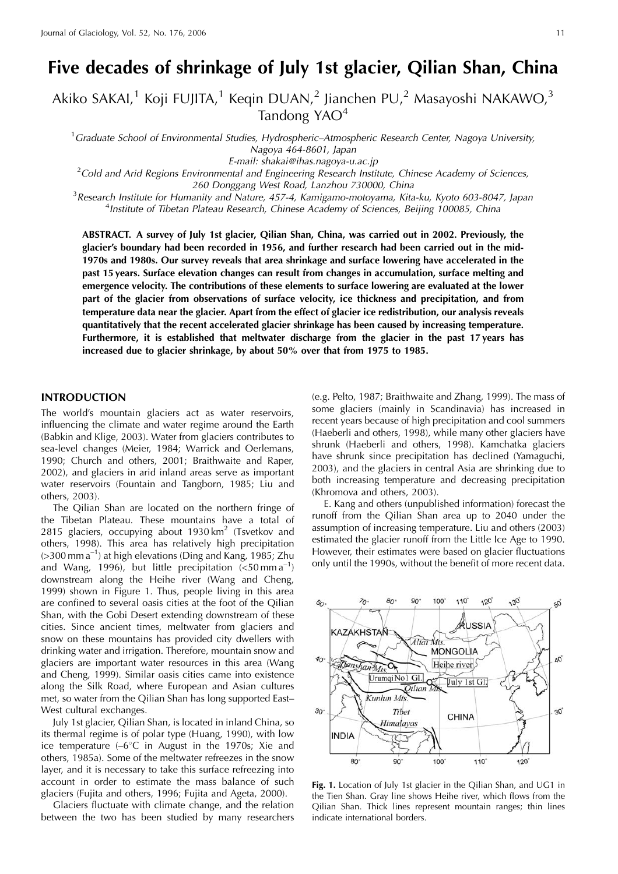# Five decades of shrinkage of July 1st glacier, Qilian Shan, China

Akiko SAKAI,<sup>1</sup> Koji FUJITA,<sup>1</sup> Keqin DUAN,<sup>2</sup> Jianchen PU,<sup>2</sup> Masayoshi NAKAWO,<sup>3</sup> Tandong YAO<sup>4</sup>

<sup>1</sup> Graduate School of Environmental Studies, Hydrospheric–Atmospheric Research Center, Nagoya University, Nagoya 464-8601, Japan E-mail: shakai@ihas.nagoya-u.ac.jp

 $^{2}$ Cold and Arid Regions Environmental and Engineering Research Institute, Chinese Academy of Sciences, 260 Donggang West Road, Lanzhou 730000, China

<sup>3</sup> Research Institute for Humanity and Nature, 457-4, Kamigamo-motoyama, Kita-ku, Kyoto 603-8047, Japan <sup>4</sup>Institute of Tibetan Plateau Research, Chinese Academy of Sciences, Beijing 100085, China

ABSTRACT. A survey of July 1st glacier, Qilian Shan, China, was carried out in 2002. Previously, the glacier's boundary had been recorded in 1956, and further research had been carried out in the mid-1970s and 1980s. Our survey reveals that area shrinkage and surface lowering have accelerated in the past 15 years. Surface elevation changes can result from changes in accumulation, surface melting and emergence velocity. The contributions of these elements to surface lowering are evaluated at the lower part of the glacier from observations of surface velocity, ice thickness and precipitation, and from temperature data near the glacier. Apart from the effect of glacier ice redistribution, our analysis reveals quantitatively that the recent accelerated glacier shrinkage has been caused by increasing temperature. Furthermore, it is established that meltwater discharge from the glacier in the past 17 years has increased due to glacier shrinkage, by about 50% over that from 1975 to 1985.

# **INTRODUCTION**

The world's mountain glaciers act as water reservoirs, influencing the climate and water regime around the Earth (Babkin and Klige, 2003). Water from glaciers contributes to sea-level changes (Meier, 1984; Warrick and Oerlemans, 1990; Church and others, 2001; Braithwaite and Raper, 2002), and glaciers in arid inland areas serve as important water reservoirs (Fountain and Tangborn, 1985; Liu and others, 2003).

The Qilian Shan are located on the northern fringe of the Tibetan Plateau. These mountains have a total of 2815 glaciers, occupying about  $1930 \text{ km}^2$  (Tsvetkov and others, 1998). This area has relatively high precipitation  $($ >300 mm  $a^{-1}$ ) at high elevations (Ding and Kang, 1985; Zhu and Wang, 1996), but little precipitation  $(<50 \text{ mm a}^{-1})$ downstream along the Heihe river (Wang and Cheng, 1999) shown in Figure 1. Thus, people living in this area are confined to several oasis cities at the foot of the Qilian Shan, with the Gobi Desert extending downstream of these cities. Since ancient times, meltwater from glaciers and snow on these mountains has provided city dwellers with drinking water and irrigation. Therefore, mountain snow and glaciers are important water resources in this area (Wang and Cheng, 1999). Similar oasis cities came into existence along the Silk Road, where European and Asian cultures met, so water from the Qilian Shan has long supported East-West cultural exchanges.

July 1st glacier, Qilian Shan, is located in inland China, so its thermal regime is of polar type (Huang, 1990), with low ice temperature  $(-6^{\circ}C$  in August in the 1970s; Xie and others, 1985a). Some of the meltwater refreezes in the snow layer, and it is necessary to take this surface refreezing into account in order to estimate the mass balance of such glaciers (Fujita and others, 1996; Fujita and Ageta, 2000).

Glaciers fluctuate with climate change, and the relation between the two has been studied by many researchers (e.g. Pelto, 1987; Braithwaite and Zhang, 1999). The mass of some glaciers (mainly in Scandinavia) has increased in recent years because of high precipitation and cool summers (Haeberli and others, 1998), while many other glaciers have shrunk (Haeberli and others, 1998). Kamchatka glaciers have shrunk since precipitation has declined (Yamaguchi, 2003), and the glaciers in central Asia are shrinking due to both increasing temperature and decreasing precipitation (Khromova and others, 2003).

E. Kang and others (unpublished information) forecast the runoff from the Qilian Shan area up to 2040 under the assumption of increasing temperature. Liu and others (2003) estimated the glacier runoff from the Little Ice Age to 1990. However, their estimates were based on glacier fluctuations only until the 1990s, without the benefit of more recent data.



Fig. 1. Location of July 1st glacier in the Qilian Shan, and UG1 in the Tien Shan. Gray line shows Heihe river, which flows from the Qilian Shan. Thick lines represent mountain ranges; thin lines indicate international borders.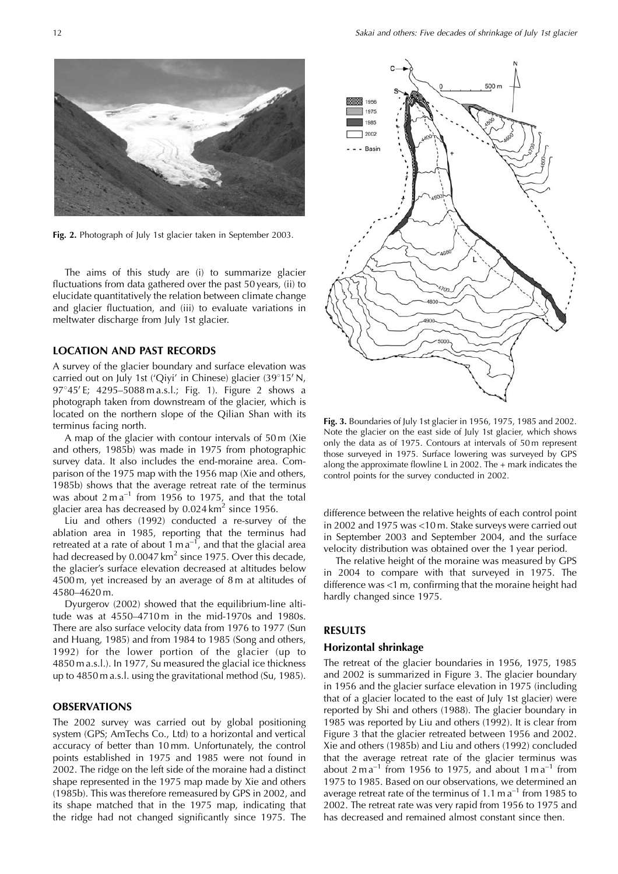

Fig. 2. Photograph of July 1st glacier taken in September 2003.

The aims of this study are (i) to summarize glacier fluctuations from data gathered over the past 50 years, (ii) to elucidate quantitatively the relation between climate change and glacier fluctuation, and (iii) to evaluate variations in meltwater discharge from July 1st glacier.

# **LOCATION AND PAST RECORDS**

A survey of the glacier boundary and surface elevation was carried out on July 1st ('Qiyi' in Chinese) glacier (39°15' N, 97°45'E; 4295-5088 m a.s.l.; Fig. 1). Figure 2 shows a photograph taken from downstream of the glacier, which is located on the northern slope of the Qilian Shan with its terminus facing north.

A map of the glacier with contour intervals of 50 m (Xie and others, 1985b) was made in 1975 from photographic survey data. It also includes the end-moraine area. Comparison of the 1975 map with the 1956 map (Xie and others, 1985b) shows that the average retreat rate of the terminus was about  $2 \text{ m a}^{-1}$  from 1956 to 1975, and that the total glacier area has decreased by 0.024 km<sup>2</sup> since 1956.

Liu and others (1992) conducted a re-survey of the ablation area in 1985, reporting that the terminus had retreated at a rate of about  $1 \text{ m a}^{-1}$ , and that the glacial area had decreased by 0.0047  $km^2$  since 1975. Over this decade, the glacier's surface elevation decreased at altitudes below 4500 m, yet increased by an average of 8 m at altitudes of 4580-4620 m.

Dyurgerov (2002) showed that the equilibrium-line altitude was at 4550-4710m in the mid-1970s and 1980s. There are also surface velocity data from 1976 to 1977 (Sun and Huang, 1985) and from 1984 to 1985 (Song and others, 1992) for the lower portion of the glacier (up to 4850 m a.s.l.). In 1977, Su measured the glacial ice thickness up to 4850 m a.s.l. using the gravitational method (Su, 1985).

#### **OBSERVATIONS**

The 2002 survey was carried out by global positioning system (GPS; AmTechs Co., Ltd) to a horizontal and vertical accuracy of better than 10 mm. Unfortunately, the control points established in 1975 and 1985 were not found in 2002. The ridge on the left side of the moraine had a distinct shape represented in the 1975 map made by Xie and others (1985b). This was therefore remeasured by GPS in 2002, and its shape matched that in the 1975 map, indicating that the ridge had not changed significantly since 1975. The



Fig. 3. Boundaries of July 1st glacier in 1956, 1975, 1985 and 2002. Note the glacier on the east side of July 1st glacier, which shows only the data as of 1975. Contours at intervals of 50 m represent those surveyed in 1975. Surface lowering was surveyed by GPS along the approximate flowline L in 2002. The  $+$  mark indicates the control points for the survey conducted in 2002.

difference between the relative heights of each control point in 2002 and 1975 was <10 m. Stake surveys were carried out in September 2003 and September 2004, and the surface velocity distribution was obtained over the 1 year period.

The relative height of the moraine was measured by GPS in 2004 to compare with that surveyed in 1975. The difference was <1 m, confirming that the moraine height had hardly changed since 1975.

## **RESULTS**

#### Horizontal shrinkage

The retreat of the glacier boundaries in 1956, 1975, 1985 and 2002 is summarized in Figure 3. The glacier boundary in 1956 and the glacier surface elevation in 1975 (including that of a glacier located to the east of July 1st glacier) were reported by Shi and others (1988). The glacier boundary in 1985 was reported by Liu and others (1992). It is clear from Figure 3 that the glacier retreated between 1956 and 2002. Xie and others (1985b) and Liu and others (1992) concluded that the average retreat rate of the glacier terminus was about  $2 \text{ m a}^{-1}$  from 1956 to 1975, and about  $1 \text{ m a}^{-1}$  from 1975 to 1985. Based on our observations, we determined an average retreat rate of the terminus of 1.1 m  $a^{-1}$  from 1985 to 2002. The retreat rate was very rapid from 1956 to 1975 and has decreased and remained almost constant since then.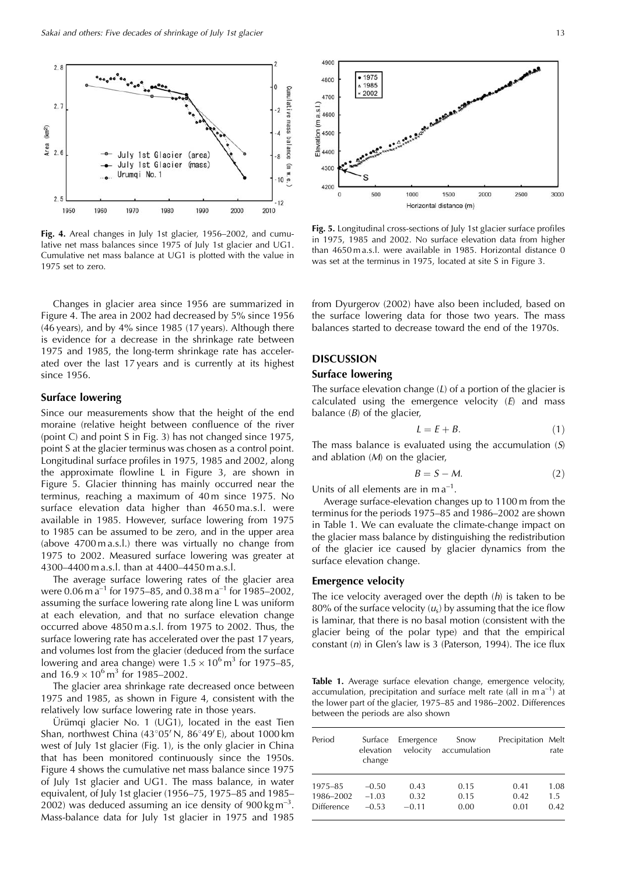

Fig. 4. Areal changes in July 1st glacier, 1956-2002, and cumulative net mass balances since 1975 of July 1st glacier and UG1. Cumulative net mass balance at UG1 is plotted with the value in 1975 set to zero.

Changes in glacier area since 1956 are summarized in Figure 4. The area in 2002 had decreased by 5% since 1956 (46 years), and by 4% since 1985 (17 years). Although there is evidence for a decrease in the shrinkage rate between 1975 and 1985, the long-term shrinkage rate has accelerated over the last 17 years and is currently at its highest since 1956.

# **Surface lowering**

Since our measurements show that the height of the end moraine (relative height between confluence of the river (point C) and point S in Fig. 3) has not changed since 1975, point S at the glacier terminus was chosen as a control point. Longitudinal surface profiles in 1975, 1985 and 2002, along the approximate flowline L in Figure 3, are shown in Figure 5. Glacier thinning has mainly occurred near the terminus, reaching a maximum of 40m since 1975. No surface elevation data higher than 4650 ma.s.l. were available in 1985. However, surface lowering from 1975 to 1985 can be assumed to be zero, and in the upper area (above 4700 m a.s.l.) there was virtually no change from 1975 to 2002. Measured surface lowering was greater at 4300–4400 m a.s.l. than at 4400–4450 m a.s.l.

The average surface lowering rates of the glacier area were 0.06 m  $a^{-1}$  for 1975–85, and 0.38 m  $a^{-1}$  for 1985–2002, assuming the surface lowering rate along line L was uniform at each elevation, and that no surface elevation change occurred above 4850 m a.s.l. from 1975 to 2002. Thus, the surface lowering rate has accelerated over the past 17 years, and volumes lost from the glacier (deduced from the surface lowering and area change) were  $1.5 \times 10^6$  m<sup>3</sup> for 1975–85, and  $16.9 \times 10^6$  m<sup>3</sup> for 1985–2002.

The glacier area shrinkage rate decreased once between 1975 and 1985, as shown in Figure 4, consistent with the relatively low surface lowering rate in those years.

Urümqi glacier No. 1 (UG1), located in the east Tien Shan, northwest China  $(43^{\circ}05' N, 86^{\circ}49' E)$ , about 1000 km west of July 1st glacier (Fig. 1), is the only glacier in China that has been monitored continuously since the 1950s. Figure 4 shows the cumulative net mass balance since 1975 of July 1st glacier and UG1. The mass balance, in water equivalent, of July 1st glacier (1956–75, 1975–85 and 1985– 2002) was deduced assuming an ice density of 900 kg  $m^{-3}$ . Mass-balance data for July 1st glacier in 1975 and 1985



Fig. 5. Longitudinal cross-sections of July 1st glacier surface profiles in 1975, 1985 and 2002. No surface elevation data from higher than 4650 m a.s.l. were available in 1985. Horizontal distance 0 was set at the terminus in 1975, located at site S in Figure 3.

from Dyurgerov (2002) have also been included, based on the surface lowering data for those two years. The mass balances started to decrease toward the end of the 1970s.

# **DISCUSSION**

### **Surface lowering**

The surface elevation change  $(L)$  of a portion of the glacier is calculated using the emergence velocity  $(E)$  and mass balance  $(B)$  of the glacier,

$$
L = E + B. \tag{1}
$$

The mass balance is evaluated using the accumulation  $(S)$ and ablation  $(M)$  on the glacier,

$$
B = S - M.\t\t(2)
$$

Units of all elements are in  $ma^{-1}$ .

Average surface-elevation changes up to 1100 m from the terminus for the periods 1975-85 and 1986-2002 are shown in Table 1. We can evaluate the climate-change impact on the glacier mass balance by distinguishing the redistribution of the glacier ice caused by glacier dynamics from the surface elevation change.

#### **Emergence velocity**

The ice velocity averaged over the depth  $(h)$  is taken to be 80% of the surface velocity  $(u_s)$  by assuming that the ice flow is laminar, that there is no basal motion (consistent with the glacier being of the polar type) and that the empirical constant  $(n)$  in Glen's law is 3 (Paterson, 1994). The ice flux

Table 1. Average surface elevation change, emergence velocity, accumulation, precipitation and surface melt rate (all in  $m a^{-1}$ ) at the lower part of the glacier, 1975-85 and 1986-2002. Differences between the periods are also shown

| Period            | Surface<br>elevation<br>change | Emergence<br>velocity | Snow<br>accumulation | Precipitation Melt | rate |
|-------------------|--------------------------------|-----------------------|----------------------|--------------------|------|
| 1975-85           | $-0.50$                        | 0.43                  | 0.15                 | 0.41               | 1.08 |
| 1986-2002         | $-1.03$                        | 0.32                  | 0.15                 | 0.42               | 1.5  |
| <b>Difference</b> | $-0.53$                        | $-0.11$               | 0.00                 | 0.01               | 0.42 |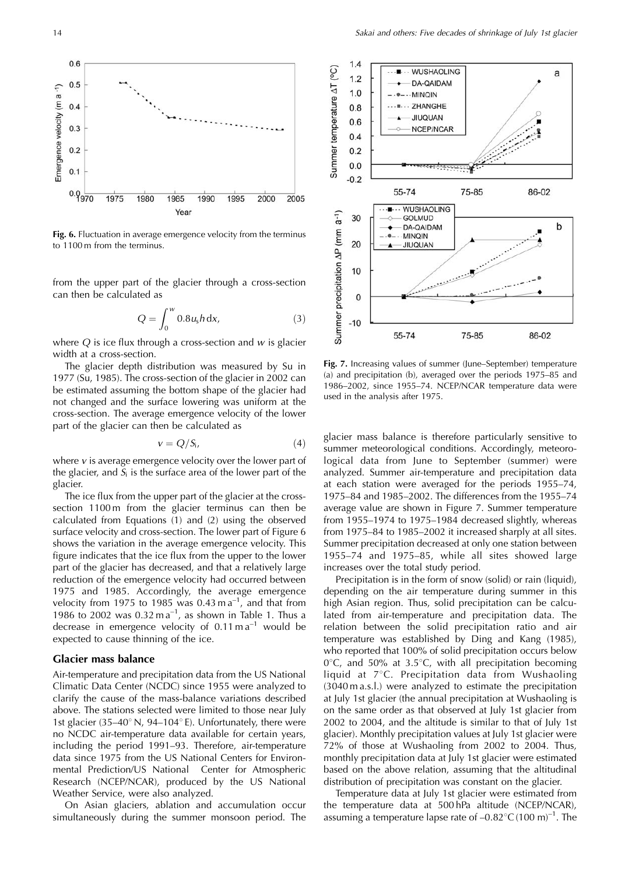

Fig. 6. Fluctuation in average emergence velocity from the terminus to 1100 m from the terminus.

from the upper part of the glacier through a cross-section can then be calculated as

$$
Q = \int_0^w 0.8u_s h \, dx,\tag{3}
$$

where Q is ice flux through a cross-section and  $w$  is glacier width at a cross-section.

The glacier depth distribution was measured by Su in 1977 (Su, 1985). The cross-section of the glacier in 2002 can be estimated assuming the bottom shape of the glacier had not changed and the surface lowering was uniform at the cross-section. The average emergence velocity of the lower part of the glacier can then be calculated as

$$
v = Q/S_i, \tag{4}
$$

where  $v$  is average emergence velocity over the lower part of the glacier, and  $S_i$  is the surface area of the lower part of the glacier.

The ice flux from the upper part of the glacier at the crosssection 1100 m from the glacier terminus can then be calculated from Equations (1) and (2) using the observed surface velocity and cross-section. The lower part of Figure 6 shows the variation in the average emergence velocity. This figure indicates that the ice flux from the upper to the lower part of the glacier has decreased, and that a relatively large reduction of the emergence velocity had occurred between 1975 and 1985. Accordingly, the average emergence velocity from 1975 to 1985 was 0.43 m  $a^{-1}$ , and that from 1986 to 2002 was  $0.32 \text{ m a}^{-1}$ , as shown in Table 1. Thus a decrease in emergence velocity of  $0.11 \text{ m a}^{-1}$  would be expected to cause thinning of the ice.

#### **Glacier mass balance**

Air-temperature and precipitation data from the US National Climatic Data Center (NCDC) since 1955 were analyzed to clarify the cause of the mass-balance variations described above. The stations selected were limited to those near July 1st glacier (35–40° N, 94–104° E). Unfortunately, there were no NCDC air-temperature data available for certain years, including the period 1991–93. Therefore, air-temperature data since 1975 from the US National Centers for Environmental Prediction/US National Center for Atmospheric Research (NCEP/NCAR), produced by the US National Weather Service, were also analyzed.

On Asian glaciers, ablation and accumulation occur simultaneously during the summer monsoon period. The



Fig. 7. Increasing values of summer (June–September) temperature (a) and precipitation (b), averaged over the periods 1975–85 and 1986-2002, since 1955-74. NCEP/NCAR temperature data were used in the analysis after 1975.

glacier mass balance is therefore particularly sensitive to summer meteorological conditions. Accordingly, meteorological data from June to September (summer) were analyzed. Summer air-temperature and precipitation data at each station were averaged for the periods 1955-74, 1975–84 and 1985–2002. The differences from the 1955–74 average value are shown in Figure 7. Summer temperature from 1955–1974 to 1975–1984 decreased slightly, whereas from 1975-84 to 1985-2002 it increased sharply at all sites. Summer precipitation decreased at only one station between 1955-74 and 1975-85, while all sites showed large increases over the total study period.

Precipitation is in the form of snow (solid) or rain (liquid), depending on the air temperature during summer in this high Asian region. Thus, solid precipitation can be calculated from air-temperature and precipitation data. The relation between the solid precipitation ratio and air temperature was established by Ding and Kang (1985), who reported that 100% of solid precipitation occurs below  $0^{\circ}$ C, and 50% at 3.5 $^{\circ}$ C, with all precipitation becoming liquid at 7°C. Precipitation data from Wushaoling (3040 m a.s.l.) were analyzed to estimate the precipitation at July 1st glacier (the annual precipitation at Wushaoling is on the same order as that observed at July 1st glacier from 2002 to 2004, and the altitude is similar to that of July 1st glacier). Monthly precipitation values at July 1st glacier were 72% of those at Wushaoling from 2002 to 2004. Thus, monthly precipitation data at July 1st glacier were estimated based on the above relation, assuming that the altitudinal distribution of precipitation was constant on the glacier.

Temperature data at July 1st glacier were estimated from the temperature data at 500 hPa altitude (NCEP/NCAR), assuming a temperature lapse rate of  $-0.82^{\circ}$ C (100 m)<sup>-1</sup>. The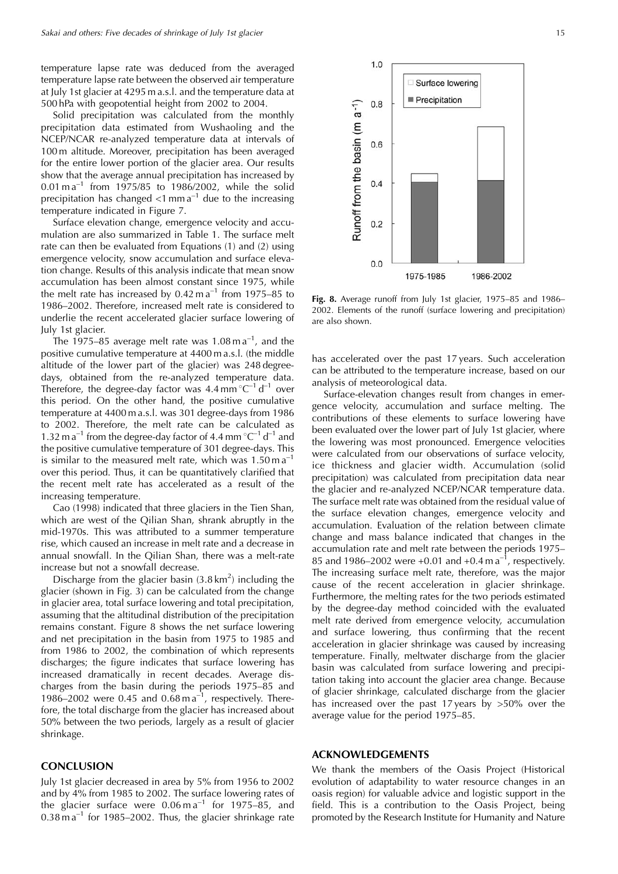temperature lapse rate was deduced from the averaged temperature lapse rate between the observed air temperature at July 1st glacier at 4295 m a.s.l. and the temperature data at 500 hPa with geopotential height from 2002 to 2004.

Solid precipitation was calculated from the monthly precipitation data estimated from Wushaoling and the NCEP/NCAR re-analyzed temperature data at intervals of 100 m altitude. Moreover, precipitation has been averaged for the entire lower portion of the glacier area. Our results show that the average annual precipitation has increased by  $0.01 \text{ m a}^{-1}$  from 1975/85 to 1986/2002, while the solid precipitation has changed  $\langle 1 \text{ mm a}^{-1}$  due to the increasing temperature indicated in Figure 7.

Surface elevation change, emergence velocity and accumulation are also summarized in Table 1. The surface melt rate can then be evaluated from Equations (1) and (2) using emergence velocity, snow accumulation and surface elevation change. Results of this analysis indicate that mean snow accumulation has been almost constant since 1975, while the melt rate has increased by  $0.42 \text{ m a}^{-1}$  from 1975–85 to 1986-2002. Therefore, increased melt rate is considered to underlie the recent accelerated glacier surface lowering of July 1st glacier.

The 1975–85 average melt rate was 1.08 m  $a^{-1}$ , and the positive cumulative temperature at 4400 m a.s.l. (the middle altitude of the lower part of the glacier) was 248 degreedays, obtained from the re-analyzed temperature data. Therefore, the degree-day factor was 4.4 mm  $^{\circ}C^{-1}$  d<sup>-1</sup> over this period. On the other hand, the positive cumulative temperature at 4400 m a.s.l. was 301 degree-days from 1986 to 2002. Therefore, the melt rate can be calculated as 1.32 m  $a^{-1}$  from the degree-day factor of 4.4 mm  $^{\circ}C^{-1}$  d<sup>-1</sup> and the positive cumulative temperature of 301 degree-days. This is similar to the measured melt rate, which was  $1.50 \text{ m a}^{-1}$ over this period. Thus, it can be quantitatively clarified that the recent melt rate has accelerated as a result of the increasing temperature.

Cao (1998) indicated that three glaciers in the Tien Shan, which are west of the Qilian Shan, shrank abruptly in the mid-1970s. This was attributed to a summer temperature rise, which caused an increase in melt rate and a decrease in annual snowfall. In the Qilian Shan, there was a melt-rate increase but not a snowfall decrease.

Discharge from the glacier basin  $(3.8 \text{ km}^2)$  including the glacier (shown in Fig. 3) can be calculated from the change in glacier area, total surface lowering and total precipitation, assuming that the altitudinal distribution of the precipitation remains constant. Figure 8 shows the net surface lowering and net precipitation in the basin from 1975 to 1985 and from 1986 to 2002, the combination of which represents discharges; the figure indicates that surface lowering has increased dramatically in recent decades. Average discharges from the basin during the periods 1975-85 and 1986–2002 were 0.45 and  $0.68 \text{ m a}^{-1}$ , respectively. Therefore, the total discharge from the glacier has increased about 50% between the two periods, largely as a result of glacier shrinkage.

## **CONCLUSION**

July 1st glacier decreased in area by 5% from 1956 to 2002 and by 4% from 1985 to 2002. The surface lowering rates of the glacier surface were  $0.06 \text{ m a}^{-1}$  for 1975–85, and  $0.38 \text{ m a}^{-1}$  for 1985-2002. Thus, the glacier shrinkage rate



Fig. 8. Average runoff from July 1st glacier, 1975-85 and 1986-2002. Elements of the runoff (surface lowering and precipitation) are also shown.

has accelerated over the past 17 years. Such acceleration can be attributed to the temperature increase, based on our analysis of meteorological data.

Surface-elevation changes result from changes in emergence velocity, accumulation and surface melting. The contributions of these elements to surface lowering have been evaluated over the lower part of July 1st glacier, where the lowering was most pronounced. Emergence velocities were calculated from our observations of surface velocity, ice thickness and glacier width. Accumulation (solid precipitation) was calculated from precipitation data near the glacier and re-analyzed NCEP/NCAR temperature data. The surface melt rate was obtained from the residual value of the surface elevation changes, emergence velocity and accumulation. Evaluation of the relation between climate change and mass balance indicated that changes in the accumulation rate and melt rate between the periods 1975– 85 and 1986–2002 were +0.01 and +0.4 m  $a^{-1}$ , respectively. The increasing surface melt rate, therefore, was the major cause of the recent acceleration in glacier shrinkage. Furthermore, the melting rates for the two periods estimated by the degree-day method coincided with the evaluated melt rate derived from emergence velocity, accumulation and surface lowering, thus confirming that the recent acceleration in glacier shrinkage was caused by increasing temperature. Finally, meltwater discharge from the glacier basin was calculated from surface lowering and precipitation taking into account the glacier area change. Because of glacier shrinkage, calculated discharge from the glacier has increased over the past 17 years by  $>50\%$  over the average value for the period 1975-85.

## **ACKNOWLEDGEMENTS**

We thank the members of the Oasis Project (Historical evolution of adaptability to water resource changes in an oasis region) for valuable advice and logistic support in the field. This is a contribution to the Oasis Project, being promoted by the Research Institute for Humanity and Nature